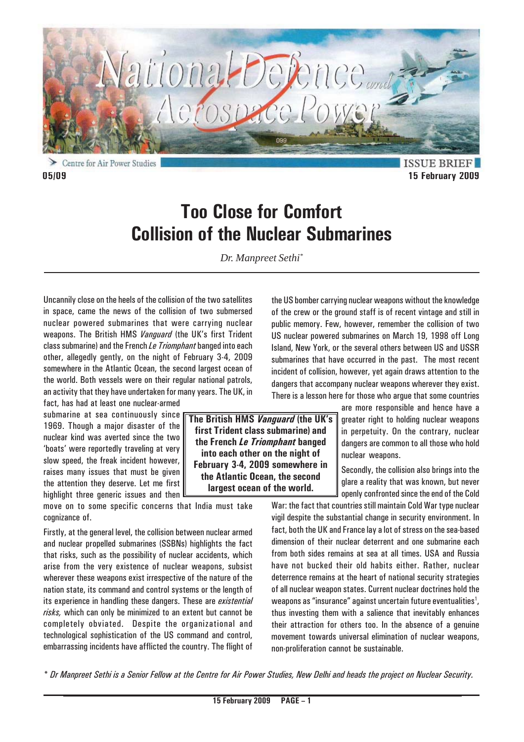

**ISSUE BRIEF 05/09 15 February 2009**

# **Too Close for Comfort Collision of the Nuclear Submarines**

*Dr. Manpreet Sethi\**

**The British HMS** *Vanguard* **(the UK's first Trident class submarine) and the French** *Le Triomphant* **banged into each other on the night of February 3-4, 2009 somewhere in the Atlantic Ocean, the second largest ocean of the world.**

Uncannily close on the heels of the collision of the two satellites in space, came the news of the collision of two submersed nuclear powered submarines that were carrying nuclear weapons. The British HMS *Vanguard* (the UK's first Trident class submarine) and the French *Le Triomphant* banged into each other, allegedly gently, on the night of February 3-4, 2009 somewhere in the Atlantic Ocean, the second largest ocean of the world. Both vessels were on their regular national patrols, an activity that they have undertaken for many years. The UK, in

fact, has had at least one nuclear-armed submarine at sea continuously since 1969. Though a major disaster of the nuclear kind was averted since the two 'boats' were reportedly traveling at very slow speed, the freak incident however, raises many issues that must be given the attention they deserve. Let me first highlight three generic issues and then

move on to some specific concerns that India must take cognizance of.

Firstly, at the general level, the collision between nuclear armed and nuclear propelled submarines (SSBNs) highlights the fact that risks, such as the possibility of nuclear accidents, which arise from the very existence of nuclear weapons, subsist wherever these weapons exist irrespective of the nature of the nation state, its command and control systems or the length of its experience in handling these dangers. These are *existential risks,* which can only be minimized to an extent but cannot be completely obviated. Despite the organizational and technological sophistication of the US command and control, embarrassing incidents have afflicted the country. The flight of

the US bomber carrying nuclear weapons without the knowledge of the crew or the ground staff is of recent vintage and still in public memory. Few, however, remember the collision of two US nuclear powered submarines on March 19, 1998 off Long Island, New York, or the several others between US and USSR submarines that have occurred in the past. The most recent incident of collision, however, yet again draws attention to the dangers that accompany nuclear weapons wherever they exist. There is a lesson here for those who argue that some countries

> are more responsible and hence have a greater right to holding nuclear weapons in perpetuity. On the contrary, nuclear dangers are common to all those who hold nuclear weapons.

> Secondly, the collision also brings into the glare a reality that was known, but never openly confronted since the end of the Cold

War: the fact that countries still maintain Cold War type nuclear vigil despite the substantial change in security environment. In fact, both the UK and France lay a lot of stress on the sea-based dimension of their nuclear deterrent and one submarine each from both sides remains at sea at all times. USA and Russia have not bucked their old habits either. Rather, nuclear deterrence remains at the heart of national security strategies of all nuclear weapon states. Current nuclear doctrines hold the weapons as "insurance" against uncertain future eventualities $^{\textrm{\text{!`}}},$ thus investing them with a salience that inevitably enhances their attraction for others too. In the absence of a genuine movement towards universal elimination of nuclear weapons, non-proliferation cannot be sustainable.

*\* Dr Manpreet Sethi is a Senior Fellow at the Centre for Air Power Studies, New Delhi and heads the project on Nuclear Security.*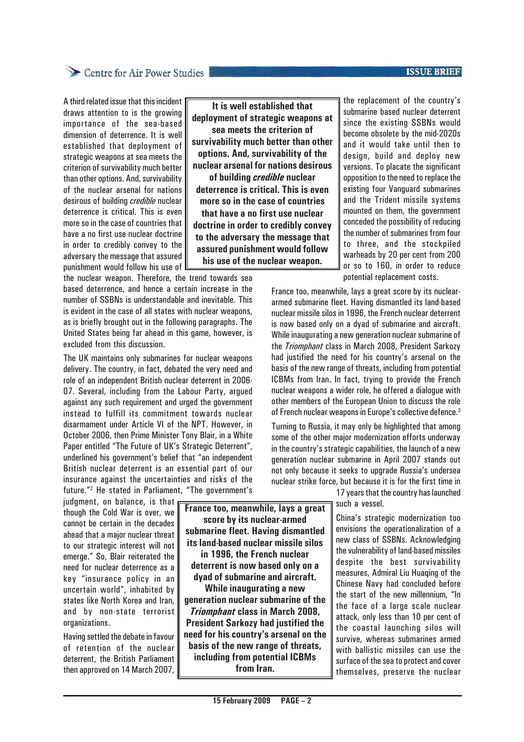## Centre for Air Power Studies

A third related issue that this incident draws attention to is the growing importance of the sea-based dimension of deterrence. It is well established that deployment of strategic weapons at sea meets the criterion of survivability much better than other options. And, survivability of the nuclear arsenal for nations desirous of building *credible* nuclear deterrence is critical. This is even more so in the case of countries that have a no first use nuclear doctrine in order to credibly convey to the adversary the message that assured punishment would follow his use of

the nuclear weapon. Therefore, the trend towards sea based deterrence, and hence a certain increase in the number of SSBNs is understandable and inevitable. This is evident in the case of all states with nuclear weapons, as is briefly brought out in the following paragraphs. The United States being far ahead in this game, however, is excluded from this discussion.

The UK maintains only submarines for nuclear weapons delivery. The country, in fact, debated the very need and role of an independent British nuclear deterrent in 2006- 07. Several, including from the Labour Party, argued against any such requirement and urged the government instead to fulfill its commitment towards nuclear disarmament under Article VI of the NPT. However, in October 2006, then Prime Minister Tony Blair, in a White Paper entitled "The Future of UK's Strategic Deterrent", underlined his government's belief that "an independent British nuclear deterrent is an essential part of our insurance against the uncertainties and risks of the future."2 He stated in Parliament, "The government's

judgment, on balance, is that though the Cold War is over, we cannot be certain in the decades ahead that a major nuclear threat to our strategic interest will not emerge." So, Blair reiterated the need for nuclear deterrence as a key "insurance policy in an uncertain world", inhabited by states like North Korea and Iran, and by non-state terrorist organizations.

Having settled the debate in favour of retention of the nuclear deterrent, the British Parliament then approved on 14 March 2007,

**It is well established that deployment of strategic weapons at sea meets the criterion of survivability much better than other options. And, survivability of the nuclear arsenal for nations desirous of building** *credible* **nuclear deterrence is critical. This is even more so in the case of countries that have a no first use nuclear doctrine in order to credibly convey to the adversary the message that assured punishment would follow his use of the nuclear weapon.**

**France too, meanwhile, lays a great score by its nuclear-armed submarine fleet. Having dismantled its land-based nuclear missile silos in 1996, the French nuclear deterrent is now based only on a dyad of submarine and aircraft. While inaugurating a new generation nuclear submarine of the**

*Triomphant* **class in March 2008, President Sarkozy had justified the need for his country's arsenal on the basis of the new range of threats, including from potential ICBMs from Iran.**

the replacement of the country's submarine based nuclear deterrent since the existing SSBNs would become obsolete by the mid-2020s and it would take until then to design, build and deploy new versions. To placate the significant opposition to the need to replace the existing four Vanguard submarines and the Trident missile systems mounted on them, the government conceded the possibility of reducing the number of submarines from four to three, and the stockpiled warheads by 20 per cent from 200 or so to 160, in order to reduce potential replacement costs.

France too, meanwhile, lays a great score by its nucleararmed submarine fleet. Having dismantled its land-based nuclear missile silos in 1996, the French nuclear deterrent is now based only on a dyad of submarine and aircraft. While inaugurating a new generation nuclear submarine of the *Triomphant* class in March 2008, President Sarkozy had justified the need for his country's arsenal on the basis of the new range of threats, including from potential ICBMs from Iran. In fact, trying to provide the French nuclear weapons a wider role, he offered a dialogue with other members of the European Union to discuss the role of French nuclear weapons in Europe's collective defence.3

Turning to Russia, it may only be highlighted that among some of the other major modernization efforts underway in the country's strategic capabilities, the launch of a new generation nuclear submarine in April 2007 stands out not only because it seeks to upgrade Russia's undersea nuclear strike force, but because it is for the first time in

17 years that the country has launched such a vessel.

China's strategic modernization too envisions the operationalization of a new class of SSBNs. Acknowledging the vulnerability of land-based missiles despite the best survivability measures, Admiral Liu Huaqing of the Chinese Navy had concluded before the start of the new millennium, "In the face of a large scale nuclear attack, only less than 10 per cent of the coastal launching silos will survive, whereas submarines armed with ballistic missiles can use the surface of the sea to protect and cover themselves, preserve the nuclear

#### **ISSUE BRIEF**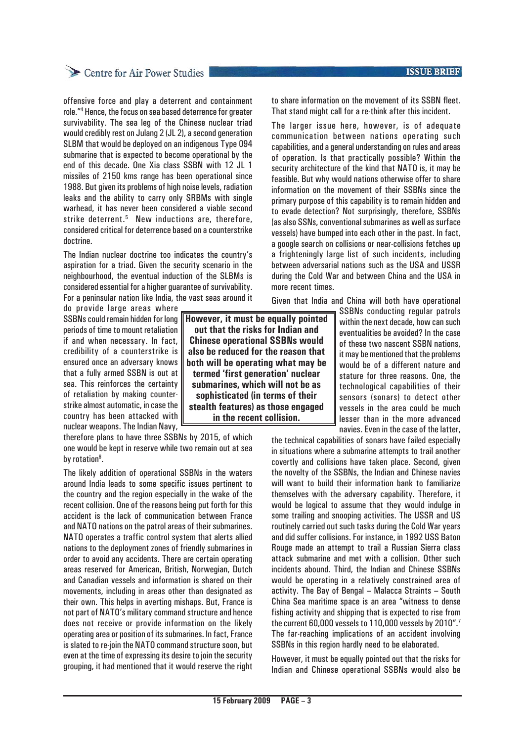## Centre for Air Power Studies

offensive force and play a deterrent and containment role."4 Hence, the focus on sea based deterrence for greater survivability. The sea leg of the Chinese nuclear triad would credibly rest on Julang 2 (JL 2), a second generation SLBM that would be deployed on an indigenous Type 094 submarine that is expected to become operational by the end of this decade. One Xia class SSBN with 12 JL 1 missiles of 2150 kms range has been operational since 1988. But given its problems of high noise levels, radiation leaks and the ability to carry only SRBMs with single warhead, it has never been considered a viable second strike deterrent.<sup>5</sup> New inductions are, therefore, considered critical for deterrence based on a counterstrike doctrine.

The Indian nuclear doctrine too indicates the country's aspiration for a triad. Given the security scenario in the neighbourhood, the eventual induction of the SLBMs is considered essential for a higher guarantee of survivability. For a peninsular nation like India, the vast seas around it

do provide large areas where SSBNs could remain hidden for long periods of time to mount retaliation if and when necessary. In fact, credibility of a counterstrike is ensured once an adversary knows that a fully armed SSBN is out at sea. This reinforces the certainty of retaliation by making counterstrike almost automatic, in case the country has been attacked with nuclear weapons. The Indian Navy,

therefore plans to have three SSBNs by 2015, of which one would be kept in reserve while two remain out at sea by rotation<sup>6</sup>.

The likely addition of operational SSBNs in the waters around India leads to some specific issues pertinent to the country and the region especially in the wake of the recent collision. One of the reasons being put forth for this accident is the lack of communication between France and NATO nations on the patrol areas of their submarines. NATO operates a traffic control system that alerts allied nations to the deployment zones of friendly submarines in order to avoid any accidents. There are certain operating areas reserved for American, British, Norwegian, Dutch and Canadian vessels and information is shared on their movements, including in areas other than designated as their own. This helps in averting mishaps. But, France is not part of NATO's military command structure and hence does not receive or provide information on the likely operating area or position of its submarines. In fact, France is slated to re-join the NATO command structure soon, but even at the time of expressing its desire to join the security grouping, it had mentioned that it would reserve the right **ISSUE BRIEF** 

to share information on the movement of its SSBN fleet. That stand might call for a re-think after this incident.

The larger issue here, however, is of adequate communication between nations operating such capabilities, and a general understanding on rules and areas of operation. Is that practically possible? Within the security architecture of the kind that NATO is, it may be feasible. But why would nations otherwise offer to share information on the movement of their SSBNs since the primary purpose of this capability is to remain hidden and to evade detection? Not surprisingly, therefore, SSBNs (as also SSNs, conventional submarines as well as surface vessels) have bumped into each other in the past. In fact, a google search on collisions or near-collisions fetches up a frighteningly large list of such incidents, including between adversarial nations such as the USA and USSR during the Cold War and between China and the USA in more recent times.

Given that India and China will both have operational

SSBNs conducting regular patrols within the next decade, how can such eventualities be avoided? In the case of these two nascent SSBN nations, it may be mentioned that the problems would be of a different nature and stature for three reasons. One, the technological capabilities of their sensors (sonars) to detect other vessels in the area could be much lesser than in the more advanced navies. Even in the case of the latter,

the technical capabilities of sonars have failed especially in situations where a submarine attempts to trail another covertly and collisions have taken place. Second, given the novelty of the SSBNs, the Indian and Chinese navies will want to build their information bank to familiarize themselves with the adversary capability. Therefore, it would be logical to assume that they would indulge in some trailing and snooping activities. The USSR and US routinely carried out such tasks during the Cold War years and did suffer collisions. For instance, in 1992 USS Baton Rouge made an attempt to trail a Russian Sierra class attack submarine and met with a collision. Other such incidents abound. Third, the Indian and Chinese SSBNs would be operating in a relatively constrained area of activity. The Bay of Bengal – Malacca Straints – South China Sea maritime space is an area "witness to dense fishing activity and shipping that is expected to rise from the current 60,000 vessels to 110,000 vessels by 2010".7 The far-reaching implications of an accident involving SSBNs in this region hardly need to be elaborated.

However, it must be equally pointed out that the risks for Indian and Chinese operational SSBNs would also be

**However, it must be equally pointed out that the risks for Indian and Chinese operational SSBNs would also be reduced for the reason that both will be operating what may be termed 'first generation' nuclear submarines, which will not be as sophisticated (in terms of their stealth features) as those engaged in the recent collision.**